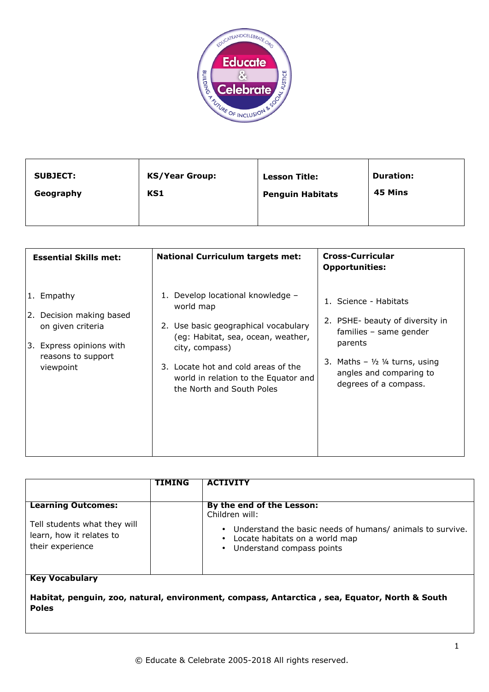

| <b>SUBJECT:</b> | <b>KS/Year Group:</b> | <b>Lesson Title:</b>    | <b>Duration:</b> |
|-----------------|-----------------------|-------------------------|------------------|
| Geography       | KS1                   | <b>Penguin Habitats</b> | 45 Mins          |
|                 |                       |                         |                  |

| <b>Essential Skills met:</b>                                                                                                  | <b>National Curriculum targets met:</b>                                                                                                                                                                                                                    | <b>Cross-Curricular</b><br><b>Opportunities:</b>                                                                                                                                                        |
|-------------------------------------------------------------------------------------------------------------------------------|------------------------------------------------------------------------------------------------------------------------------------------------------------------------------------------------------------------------------------------------------------|---------------------------------------------------------------------------------------------------------------------------------------------------------------------------------------------------------|
| 1. Empathy<br>2. Decision making based<br>on given criteria<br>Express opinions with<br>3.<br>reasons to support<br>viewpoint | 1. Develop locational knowledge -<br>world map<br>2. Use basic geographical vocabulary<br>(eg: Habitat, sea, ocean, weather,<br>city, compass)<br>3. Locate hot and cold areas of the<br>world in relation to the Equator and<br>the North and South Poles | 1. Science - Habitats<br>2. PSHE- beauty of diversity in<br>families - same gender<br>parents<br>3. Maths $ \frac{1}{2}$ $\frac{1}{4}$ turns, using<br>angles and comparing to<br>degrees of a compass. |

|                                                                              | TIMING | <b>ACTIVITY</b>                                                                                                          |
|------------------------------------------------------------------------------|--------|--------------------------------------------------------------------------------------------------------------------------|
| <b>Learning Outcomes:</b>                                                    |        | By the end of the Lesson:<br>Children will:                                                                              |
| Tell students what they will<br>learn, how it relates to<br>their experience |        | Understand the basic needs of humans/ animals to survive.<br>Locate habitats on a world map<br>Understand compass points |
| <b>Key Vocabulary</b>                                                        |        |                                                                                                                          |

**Habitat, penguin, zoo, natural, environment, compass, Antarctica , sea, Equator, North & South Poles**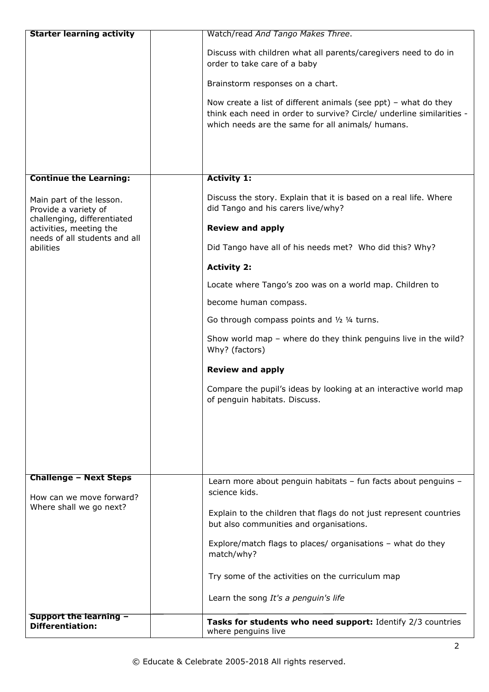| <b>Starter learning activity</b>                                                        | Watch/read And Tango Makes Three.                                                                 |
|-----------------------------------------------------------------------------------------|---------------------------------------------------------------------------------------------------|
|                                                                                         | Discuss with children what all parents/caregivers need to do in                                   |
|                                                                                         | order to take care of a baby                                                                      |
|                                                                                         | Brainstorm responses on a chart.                                                                  |
|                                                                                         | Now create a list of different animals (see $ppt$ ) – what do they                                |
|                                                                                         | think each need in order to survive? Circle/ underline similarities -                             |
|                                                                                         | which needs are the same for all animals/ humans.                                                 |
|                                                                                         |                                                                                                   |
|                                                                                         |                                                                                                   |
| <b>Continue the Learning:</b>                                                           | <b>Activity 1:</b>                                                                                |
| Main part of the lesson.                                                                | Discuss the story. Explain that it is based on a real life. Where                                 |
| Provide a variety of                                                                    | did Tango and his carers live/why?                                                                |
| challenging, differentiated<br>activities, meeting the<br>needs of all students and all | <b>Review and apply</b>                                                                           |
| abilities                                                                               | Did Tango have all of his needs met? Who did this? Why?                                           |
|                                                                                         | <b>Activity 2:</b>                                                                                |
|                                                                                         | Locate where Tango's zoo was on a world map. Children to                                          |
|                                                                                         | become human compass.                                                                             |
|                                                                                         | Go through compass points and 1/2 1/4 turns.                                                      |
|                                                                                         | Show world map - where do they think penguins live in the wild?<br>Why? (factors)                 |
|                                                                                         | <b>Review and apply</b>                                                                           |
|                                                                                         |                                                                                                   |
|                                                                                         | Compare the pupil's ideas by looking at an interactive world map<br>of penguin habitats. Discuss. |
|                                                                                         |                                                                                                   |
|                                                                                         |                                                                                                   |
|                                                                                         |                                                                                                   |
|                                                                                         |                                                                                                   |
| <b>Challenge - Next Steps</b>                                                           | Learn more about penguin habitats - fun facts about penguins -                                    |
| How can we move forward?                                                                | science kids.                                                                                     |
| Where shall we go next?                                                                 | Explain to the children that flags do not just represent countries                                |
|                                                                                         | but also communities and organisations.                                                           |
|                                                                                         | Explore/match flags to places/ organisations - what do they                                       |
|                                                                                         | match/why?                                                                                        |
|                                                                                         | Try some of the activities on the curriculum map                                                  |
|                                                                                         | Learn the song It's a penguin's life                                                              |
| <b>Support the learning -</b>                                                           |                                                                                                   |
| <b>Differentiation:</b>                                                                 | Tasks for students who need support: Identify 2/3 countries<br>where penguins live                |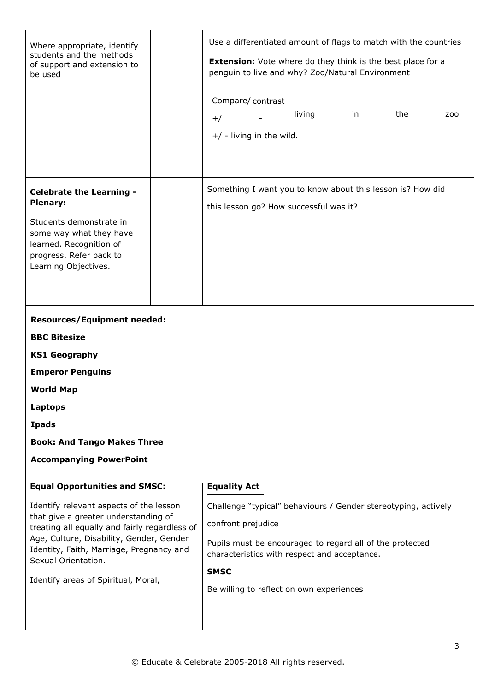| Where appropriate, identify<br>students and the methods<br>of support and extension to<br>be used | Use a differentiated amount of flags to match with the countries<br><b>Extension:</b> Vote where do they think is the best place for a<br>penguin to live and why? Zoo/Natural Environment |  |  |  |
|---------------------------------------------------------------------------------------------------|--------------------------------------------------------------------------------------------------------------------------------------------------------------------------------------------|--|--|--|
|                                                                                                   | Compare/contrast                                                                                                                                                                           |  |  |  |
|                                                                                                   | the<br>living<br>in<br>ZOO<br>$+/-$                                                                                                                                                        |  |  |  |
|                                                                                                   | $+/$ - living in the wild.                                                                                                                                                                 |  |  |  |
|                                                                                                   |                                                                                                                                                                                            |  |  |  |
|                                                                                                   |                                                                                                                                                                                            |  |  |  |
|                                                                                                   |                                                                                                                                                                                            |  |  |  |
| <b>Celebrate the Learning -</b>                                                                   | Something I want you to know about this lesson is? How did                                                                                                                                 |  |  |  |
| <b>Plenary:</b>                                                                                   | this lesson go? How successful was it?                                                                                                                                                     |  |  |  |
| Students demonstrate in                                                                           |                                                                                                                                                                                            |  |  |  |
| some way what they have                                                                           |                                                                                                                                                                                            |  |  |  |
| learned. Recognition of<br>progress. Refer back to                                                |                                                                                                                                                                                            |  |  |  |
| Learning Objectives.                                                                              |                                                                                                                                                                                            |  |  |  |
|                                                                                                   |                                                                                                                                                                                            |  |  |  |
|                                                                                                   |                                                                                                                                                                                            |  |  |  |
| <b>Resources/Equipment needed:</b>                                                                |                                                                                                                                                                                            |  |  |  |
|                                                                                                   |                                                                                                                                                                                            |  |  |  |
| <b>BBC Bitesize</b>                                                                               |                                                                                                                                                                                            |  |  |  |
| <b>KS1 Geography</b>                                                                              |                                                                                                                                                                                            |  |  |  |
| <b>Emperor Penguins</b>                                                                           |                                                                                                                                                                                            |  |  |  |
| <b>World Map</b>                                                                                  |                                                                                                                                                                                            |  |  |  |
| Laptops                                                                                           |                                                                                                                                                                                            |  |  |  |
| <b>Ipads</b>                                                                                      |                                                                                                                                                                                            |  |  |  |
| <b>Book: And Tango Makes Three</b>                                                                |                                                                                                                                                                                            |  |  |  |
| <b>Accompanying PowerPoint</b>                                                                    |                                                                                                                                                                                            |  |  |  |
|                                                                                                   |                                                                                                                                                                                            |  |  |  |
| <b>Equal Opportunities and SMSC:</b>                                                              | <b>Equality Act</b>                                                                                                                                                                        |  |  |  |
| Identify relevant aspects of the lesson                                                           | Challenge "typical" behaviours / Gender stereotyping, actively                                                                                                                             |  |  |  |
| that give a greater understanding of<br>treating all equally and fairly regardless of             | confront prejudice                                                                                                                                                                         |  |  |  |
| Age, Culture, Disability, Gender, Gender                                                          | Pupils must be encouraged to regard all of the protected                                                                                                                                   |  |  |  |
| Identity, Faith, Marriage, Pregnancy and<br>Sexual Orientation.                                   | characteristics with respect and acceptance.                                                                                                                                               |  |  |  |
|                                                                                                   | <b>SMSC</b>                                                                                                                                                                                |  |  |  |
| Identify areas of Spiritual, Moral,                                                               | Be willing to reflect on own experiences                                                                                                                                                   |  |  |  |
|                                                                                                   |                                                                                                                                                                                            |  |  |  |